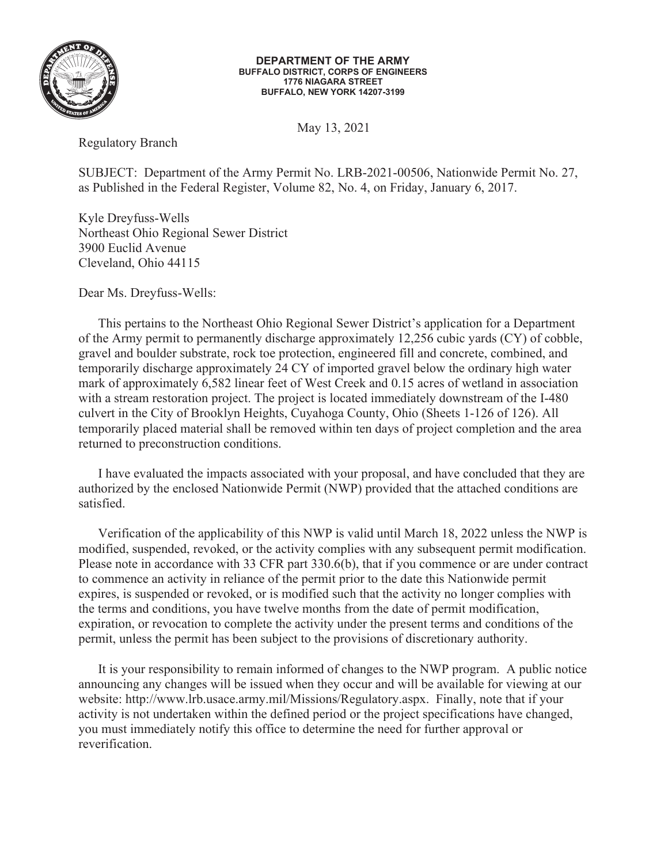

## **DEPARTMENT OF THE ARMY BUFFALO DISTRICT, CORPS OF ENGINEERS 1776 NIAGARA STREET BUFFALO, NEW YORK 14207-3199**

May 13, 2021

Regulatory Branch

SUBJECT: Department of the Army Permit No. LRB-2021-00506, Nationwide Permit No. 27, as Published in the Federal Register, Volume 82, No. 4, on Friday, January 6, 2017.

Kyle Dreyfuss-Wells Northeast Ohio Regional Sewer District 3900 Euclid Avenue Cleveland, Ohio 44115

Dear Ms. Dreyfuss-Wells:

This pertains to the Northeast Ohio Regional Sewer District's application for a Department of the Army permit to permanently discharge approximately 12,256 cubic yards (CY) of cobble, gravel and boulder substrate, rock toe protection, engineered fill and concrete, combined, and temporarily discharge approximately 24 CY of imported gravel below the ordinary high water mark of approximately 6,582 linear feet of West Creek and 0.15 acres of wetland in association with a stream restoration project. The project is located immediately downstream of the I-480 culvert in the City of Brooklyn Heights, Cuyahoga County, Ohio (Sheets 1-126 of 126). All temporarily placed material shall be removed within ten days of project completion and the area returned to preconstruction conditions.

 I have evaluated the impacts associated with your proposal, and have concluded that they are authorized by the enclosed Nationwide Permit (NWP) provided that the attached conditions are satisfied.

 Verification of the applicability of this NWP is valid until March 18, 2022 unless the NWP is modified, suspended, revoked, or the activity complies with any subsequent permit modification. Please note in accordance with 33 CFR part 330.6(b), that if you commence or are under contract to commence an activity in reliance of the permit prior to the date this Nationwide permit expires, is suspended or revoked, or is modified such that the activity no longer complies with the terms and conditions, you have twelve months from the date of permit modification, expiration, or revocation to complete the activity under the present terms and conditions of the permit, unless the permit has been subject to the provisions of discretionary authority.

 It is your responsibility to remain informed of changes to the NWP program. A public notice announcing any changes will be issued when they occur and will be available for viewing at our website: http://www.lrb.usace.army.mil/Missions/Regulatory.aspx. Finally, note that if your activity is not undertaken within the defined period or the project specifications have changed, you must immediately notify this office to determine the need for further approval or reverification.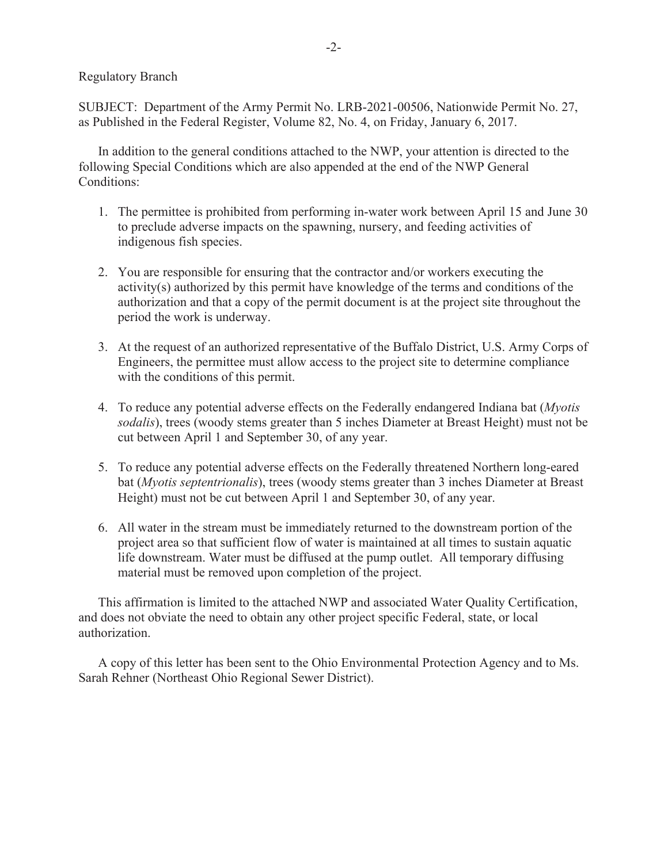Regulatory Branch

SUBJECT: Department of the Army Permit No. LRB-2021-00506, Nationwide Permit No. 27, as Published in the Federal Register, Volume 82, No. 4, on Friday, January 6, 2017.

 In addition to the general conditions attached to the NWP, your attention is directed to the following Special Conditions which are also appended at the end of the NWP General Conditions:

- 1. The permittee is prohibited from performing in-water work between April 15 and June 30 to preclude adverse impacts on the spawning, nursery, and feeding activities of indigenous fish species.
- 2. You are responsible for ensuring that the contractor and/or workers executing the activity(s) authorized by this permit have knowledge of the terms and conditions of the authorization and that a copy of the permit document is at the project site throughout the period the work is underway.
- 3. At the request of an authorized representative of the Buffalo District, U.S. Army Corps of Engineers, the permittee must allow access to the project site to determine compliance with the conditions of this permit.
- 4. To reduce any potential adverse effects on the Federally endangered Indiana bat (*Myotis sodalis*), trees (woody stems greater than 5 inches Diameter at Breast Height) must not be cut between April 1 and September 30, of any year.
- 5. To reduce any potential adverse effects on the Federally threatened Northern long-eared bat (*Myotis septentrionalis*), trees (woody stems greater than 3 inches Diameter at Breast Height) must not be cut between April 1 and September 30, of any year.
- 6. All water in the stream must be immediately returned to the downstream portion of the project area so that sufficient flow of water is maintained at all times to sustain aquatic life downstream. Water must be diffused at the pump outlet. All temporary diffusing material must be removed upon completion of the project.

This affirmation is limited to the attached NWP and associated Water Quality Certification, and does not obviate the need to obtain any other project specific Federal, state, or local authorization.

 A copy of this letter has been sent to the Ohio Environmental Protection Agency and to Ms. Sarah Rehner (Northeast Ohio Regional Sewer District).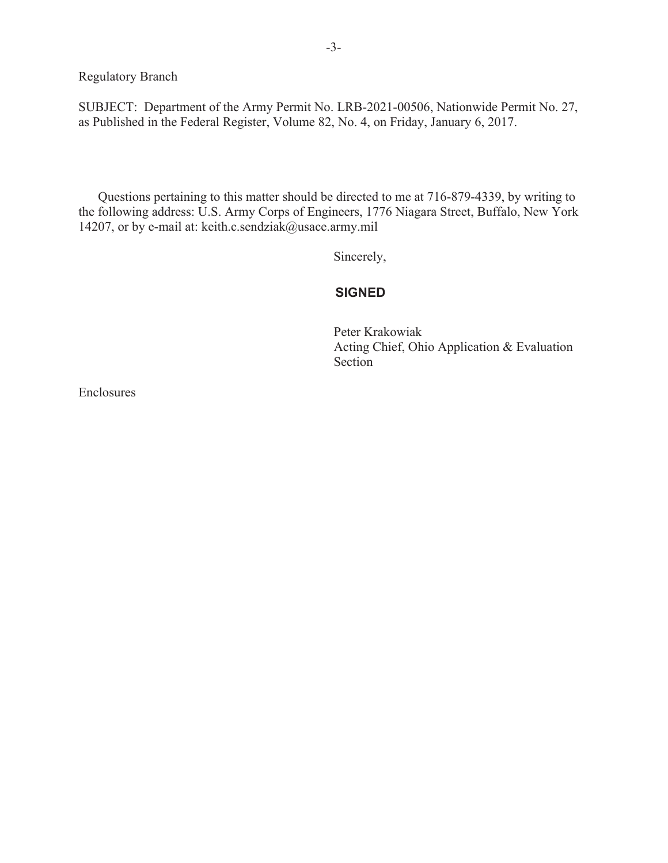Regulatory Branch

SUBJECT: Department of the Army Permit No. LRB-2021-00506, Nationwide Permit No. 27, as Published in the Federal Register, Volume 82, No. 4, on Friday, January 6, 2017.

 Questions pertaining to this matter should be directed to me at 716-879-4339, by writing to the following address: U.S. Army Corps of Engineers, 1776 Niagara Street, Buffalo, New York 14207, or by e-mail at: keith.c.sendziak@usace.army.mil

Sincerely, Sincerely,

## **SIGNED**

Peter Krakowiak Acting Chief, Ohio Application & Evaluation Section

Enclosures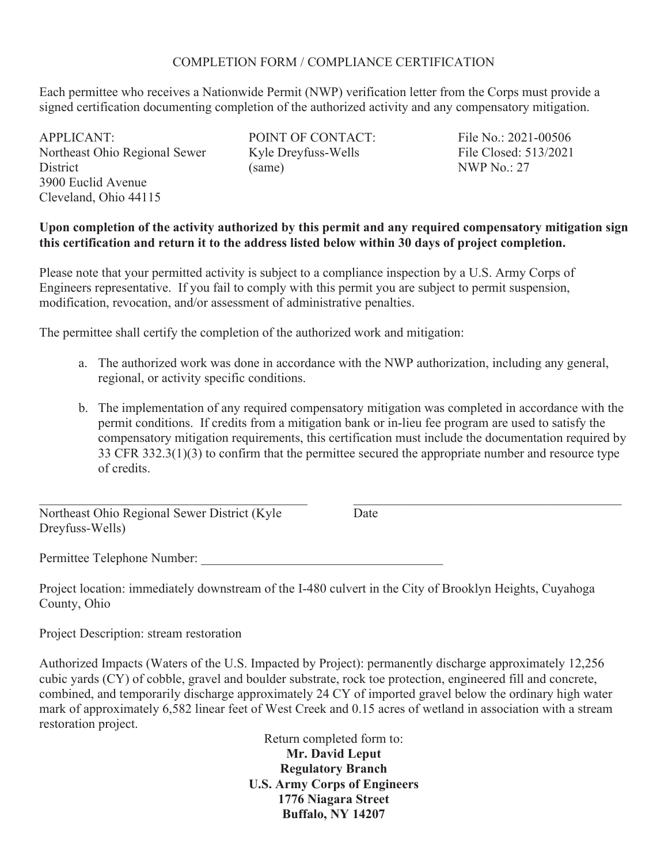## COMPLETION FORM / COMPLIANCE CERTIFICATION

Each permittee who receives a Nationwide Permit (NWP) verification letter from the Corps must provide a signed certification documenting completion of the authorized activity and any compensatory mitigation.

APPLICANT: Northeast Ohio Regional Sewer **District** 3900 Euclid Avenue Cleveland, Ohio 44115

POINT OF CONTACT: Kyle Dreyfuss-Wells (same)

File No.: 2021-00506 File Closed: 513/2021 NWP No.: 27

## **Upon completion of the activity authorized by this permit and any required compensatory mitigation sign this certification and return it to the address listed below within 30 days of project completion.**

Please note that your permitted activity is subject to a compliance inspection by a U.S. Army Corps of Engineers representative. If you fail to comply with this permit you are subject to permit suspension, modification, revocation, and/or assessment of administrative penalties.

The permittee shall certify the completion of the authorized work and mitigation:

- a. The authorized work was done in accordance with the NWP authorization, including any general, regional, or activity specific conditions.
- b. The implementation of any required compensatory mitigation was completed in accordance with the permit conditions. If credits from a mitigation bank or in-lieu fee program are used to satisfy the compensatory mitigation requirements, this certification must include the documentation required by 33 CFR 332.3(1)(3) to confirm that the permittee secured the appropriate number and resource type of credits.

Northeast Ohio Regional Sewer District (Kyle Dreyfuss-Wells)

**Date** 

Permittee Telephone Number:

Project location: immediately downstream of the I-480 culvert in the City of Brooklyn Heights, Cuyahoga County, Ohio

Project Description: stream restoration

Authorized Impacts (Waters of the U.S. Impacted by Project): permanently discharge approximately 12,256 cubic yards (CY) of cobble, gravel and boulder substrate, rock toe protection, engineered fill and concrete, combined, and temporarily discharge approximately 24 CY of imported gravel below the ordinary high water mark of approximately 6,582 linear feet of West Creek and 0.15 acres of wetland in association with a stream restoration project.

> Return completed form to: **Mr. David Leput Regulatory Branch U.S. Army Corps of Engineers 1776 Niagara Street Buffalo, NY 14207**